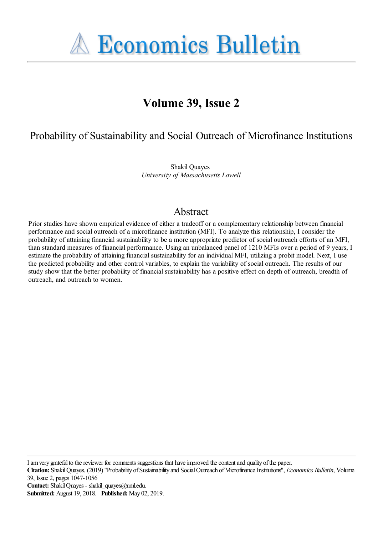**A Economics Bulletin** 

# **Volume 39, Issue 2**

Probability of Sustainability and Social Outreach of Microfinance Institutions

Shakil Quayes *University of Massachusetts Lowell*

## Abstract

Prior studies have shown empirical evidence of either a tradeoff or a complementary relationship between financial performance and social outreach of a microfinance institution (MFI). To analyze this relationship, I consider the probability of attaining financial sustainability to be a more appropriate predictor of social outreach efforts of an MFI, than standard measures of financial performance. Using an unbalanced panel of 1210 MFIs over a period of 9 years, I estimate the probability of attaining financial sustainability for an individual MFI, utilizing a probit model. Next, I use the predicted probability and other control variables, to explain the variability of social outreach. The results of our study show that the better probability of financial sustainability has a positive effect on depth of outreach, breadth of outreach, and outreach to women.

I am very grateful to the reviewer for comments suggestions that have improved the content and quality of the paper.

**Citation:** Shakil Quayes, (2019) ''Probability of Sustainability and Social Outreach of Microfinance Institutions'', *Economics Bulletin*, Volume 39, Issue 2, pages 1047-1056

**Contact:** Shakil Quayes - shakil\_quayes@uml.edu.

**Submitted:** August 19, 2018. **Published:** May 02, 2019.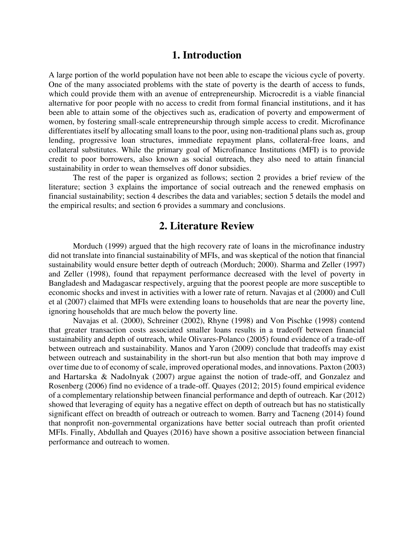### **1. Introduction**

A large portion of the world population have not been able to escape the vicious cycle of poverty. One of the many associated problems with the state of poverty is the dearth of access to funds, which could provide them with an avenue of entrepreneurship. Microcredit is a viable financial alternative for poor people with no access to credit from formal financial institutions, and it has been able to attain some of the objectives such as, eradication of poverty and empowerment of women, by fostering small-scale entrepreneurship through simple access to credit. Microfinance differentiates itself by allocating small loans to the poor, using non-traditional plans such as, group lending, progressive loan structures, immediate repayment plans, collateral-free loans, and collateral substitutes. While the primary goal of Microfinance Institutions (MFI) is to provide credit to poor borrowers, also known as social outreach, they also need to attain financial sustainability in order to wean themselves off donor subsidies.

The rest of the paper is organized as follows; section 2 provides a brief review of the literature; section 3 explains the importance of social outreach and the renewed emphasis on financial sustainability; section 4 describes the data and variables; section 5 details the model and the empirical results; and section 6 provides a summary and conclusions.

#### **2. Literature Review**

Morduch (1999) argued that the high recovery rate of loans in the microfinance industry did not translate into financial sustainability of MFIs, and was skeptical of the notion that financial sustainability would ensure better depth of outreach (Morduch; 2000). Sharma and Zeller (1997) and Zeller (1998), found that repayment performance decreased with the level of poverty in Bangladesh and Madagascar respectively, arguing that the poorest people are more susceptible to economic shocks and invest in activities with a lower rate of return. Navajas et al (2000) and Cull et al (2007) claimed that MFIs were extending loans to households that are near the poverty line, ignoring households that are much below the poverty line.

Navajas et al. (2000), Schreiner (2002), Rhyne (1998) and Von Pischke (1998) contend that greater transaction costs associated smaller loans results in a tradeoff between financial sustainability and depth of outreach, while Olivares-Polanco (2005) found evidence of a trade-off between outreach and sustainability. Manos and Yaron (2009) conclude that tradeoffs may exist between outreach and sustainability in the short-run but also mention that both may improve d over time due to of economy of scale, improved operational modes, and innovations. Paxton (2003) and Hartarska & Nadolnyak (2007) argue against the notion of trade-off, and Gonzalez and Rosenberg (2006) find no evidence of a trade-off. Quayes (2012; 2015) found empirical evidence of a complementary relationship between financial performance and depth of outreach. Kar (2012) showed that leveraging of equity has a negative effect on depth of outreach but has no statistically significant effect on breadth of outreach or outreach to women. Barry and Tacneng (2014) found that nonprofit non-governmental organizations have better social outreach than profit oriented MFIs. Finally, Abdullah and Quayes (2016) have shown a positive association between financial performance and outreach to women.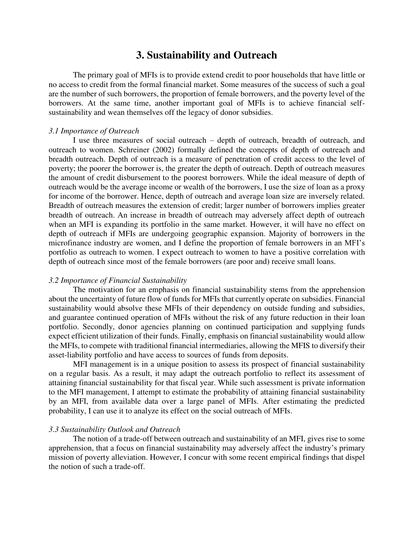### **3. Sustainability and Outreach**

The primary goal of MFIs is to provide extend credit to poor households that have little or no access to credit from the formal financial market. Some measures of the success of such a goal are the number of such borrowers, the proportion of female borrowers, and the poverty level of the borrowers. At the same time, another important goal of MFIs is to achieve financial selfsustainability and wean themselves off the legacy of donor subsidies.

#### *3.1 Importance of Outreach*

I use three measures of social outreach – depth of outreach, breadth of outreach, and outreach to women. Schreiner (2002) formally defined the concepts of depth of outreach and breadth outreach. Depth of outreach is a measure of penetration of credit access to the level of poverty; the poorer the borrower is, the greater the depth of outreach. Depth of outreach measures the amount of credit disbursement to the poorest borrowers. While the ideal measure of depth of outreach would be the average income or wealth of the borrowers, I use the size of loan as a proxy for income of the borrower. Hence, depth of outreach and average loan size are inversely related. Breadth of outreach measures the extension of credit; larger number of borrowers implies greater breadth of outreach. An increase in breadth of outreach may adversely affect depth of outreach when an MFI is expanding its portfolio in the same market. However, it will have no effect on depth of outreach if MFIs are undergoing geographic expansion. Majority of borrowers in the microfinance industry are women, and I define the proportion of female borrowers in an MFI's portfolio as outreach to women. I expect outreach to women to have a positive correlation with depth of outreach since most of the female borrowers (are poor and) receive small loans.

#### *3.2 Importance of Financial Sustainability*

The motivation for an emphasis on financial sustainability stems from the apprehension about the uncertainty of future flow of funds for MFIs that currently operate on subsidies. Financial sustainability would absolve these MFIs of their dependency on outside funding and subsidies, and guarantee continued operation of MFIs without the risk of any future reduction in their loan portfolio. Secondly, donor agencies planning on continued participation and supplying funds expect efficient utilization of their funds. Finally, emphasis on financial sustainability would allow the MFIs, to compete with traditional financial intermediaries, allowing the MFIS to diversify their asset-liability portfolio and have access to sources of funds from deposits.

MFI management is in a unique position to assess its prospect of financial sustainability on a regular basis. As a result, it may adapt the outreach portfolio to reflect its assessment of attaining financial sustainability for that fiscal year. While such assessment is private information to the MFI management, I attempt to estimate the probability of attaining financial sustainability by an MFI, from available data over a large panel of MFIs. After estimating the predicted probability, I can use it to analyze its effect on the social outreach of MFIs.

#### *3.3 Sustainability Outlook and Outreach*

The notion of a trade-off between outreach and sustainability of an MFI, gives rise to some apprehension, that a focus on financial sustainability may adversely affect the industry's primary mission of poverty alleviation. However, I concur with some recent empirical findings that dispel the notion of such a trade-off.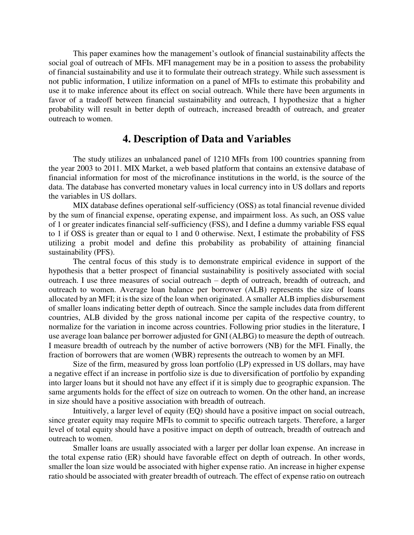This paper examines how the management's outlook of financial sustainability affects the social goal of outreach of MFIs. MFI management may be in a position to assess the probability of financial sustainability and use it to formulate their outreach strategy. While such assessment is not public information, I utilize information on a panel of MFIs to estimate this probability and use it to make inference about its effect on social outreach. While there have been arguments in favor of a tradeoff between financial sustainability and outreach, I hypothesize that a higher probability will result in better depth of outreach, increased breadth of outreach, and greater outreach to women.

### **4. Description of Data and Variables**

The study utilizes an unbalanced panel of 1210 MFIs from 100 countries spanning from the year 2003 to 2011. MIX Market, a web based platform that contains an extensive database of financial information for most of the microfinance institutions in the world, is the source of the data. The database has converted monetary values in local currency into in US dollars and reports the variables in US dollars.

MIX database defines operational self-sufficiency (OSS) as total financial revenue divided by the sum of financial expense, operating expense, and impairment loss. As such, an OSS value of 1 or greater indicates financial self-sufficiency (FSS), and I define a dummy variable FSS equal to 1 if OSS is greater than or equal to 1 and 0 otherwise. Next, I estimate the probability of FSS utilizing a probit model and define this probability as probability of attaining financial sustainability (PFS).

The central focus of this study is to demonstrate empirical evidence in support of the hypothesis that a better prospect of financial sustainability is positively associated with social outreach. I use three measures of social outreach – depth of outreach, breadth of outreach, and outreach to women. Average loan balance per borrower (ALB) represents the size of loans allocated by an MFI; it is the size of the loan when originated. A smaller ALB implies disbursement of smaller loans indicating better depth of outreach. Since the sample includes data from different countries, ALB divided by the gross national income per capita of the respective country, to normalize for the variation in income across countries. Following prior studies in the literature, I use average loan balance per borrower adjusted for GNI (ALBG) to measure the depth of outreach. I measure breadth of outreach by the number of active borrowers (NB) for the MFI. Finally, the fraction of borrowers that are women (WBR) represents the outreach to women by an MFI.

Size of the firm, measured by gross loan portfolio (LP) expressed in US dollars, may have a negative effect if an increase in portfolio size is due to diversification of portfolio by expanding into larger loans but it should not have any effect if it is simply due to geographic expansion. The same arguments holds for the effect of size on outreach to women. On the other hand, an increase in size should have a positive association with breadth of outreach.

Intuitively, a larger level of equity (EQ) should have a positive impact on social outreach, since greater equity may require MFIs to commit to specific outreach targets. Therefore, a larger level of total equity should have a positive impact on depth of outreach, breadth of outreach and outreach to women.

Smaller loans are usually associated with a larger per dollar loan expense. An increase in the total expense ratio (ER) should have favorable effect on depth of outreach. In other words, smaller the loan size would be associated with higher expense ratio. An increase in higher expense ratio should be associated with greater breadth of outreach. The effect of expense ratio on outreach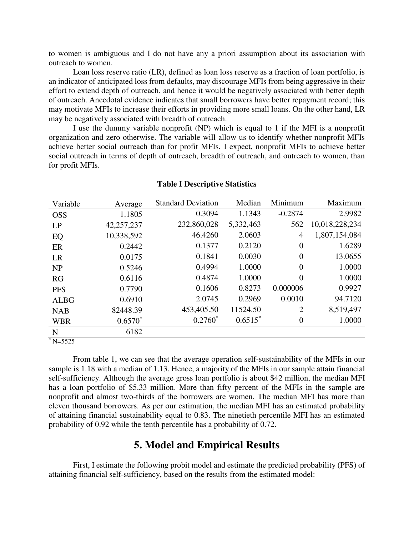to women is ambiguous and I do not have any a priori assumption about its association with outreach to women.

Loan loss reserve ratio (LR), defined as loan loss reserve as a fraction of loan portfolio, is an indicator of anticipated loss from defaults, may discourage MFIs from being aggressive in their effort to extend depth of outreach, and hence it would be negatively associated with better depth of outreach. Anecdotal evidence indicates that small borrowers have better repayment record; this may motivate MFIs to increase their efforts in providing more small loans. On the other hand, LR may be negatively associated with breadth of outreach.

I use the dummy variable nonprofit (NP) which is equal to 1 if the MFI is a nonprofit organization and zero otherwise. The variable will allow us to identify whether nonprofit MFIs achieve better social outreach than for profit MFIs. I expect, nonprofit MFIs to achieve better social outreach in terms of depth of outreach, breadth of outreach, and outreach to women, than for profit MFIs.

| Variable    | Average    | <b>Standard Deviation</b> | Median    | Minimum          | Maximum        |
|-------------|------------|---------------------------|-----------|------------------|----------------|
| <b>OSS</b>  | 1.1805     | 0.3094                    | 1.1343    | $-0.2874$        | 2.9982         |
| LP          | 42,257,237 | 232,860,028               | 5,332,463 | 562              | 10,018,228,234 |
| EQ          | 10,338,592 | 46.4260                   | 2.0603    | $\overline{4}$   | 1,807,154,084  |
| ER          | 0.2442     | 0.1377                    | 0.2120    | $\overline{0}$   | 1.6289         |
| <b>LR</b>   | 0.0175     | 0.1841                    | 0.0030    | $\overline{0}$   | 13.0655        |
| NP          | 0.5246     | 0.4994                    | 1.0000    | $\overline{0}$   | 1.0000         |
| RG          | 0.6116     | 0.4874                    | 1.0000    | $\overline{0}$   | 1.0000         |
| <b>PFS</b>  | 0.7790     | 0.1606                    | 0.8273    | 0.000006         | 0.9927         |
| <b>ALBG</b> | 0.6910     | 2.0745                    | 0.2969    | 0.0010           | 94.7120        |
| <b>NAB</b>  | 82448.39   | 453,405.50                | 11524.50  | $\overline{2}$   | 8,519,497      |
| <b>WBR</b>  | $0.6570*$  | $0.2760*$                 | $0.6515*$ | $\boldsymbol{0}$ | 1.0000         |
| N           | 6182       |                           |           |                  |                |

#### **Table I Descriptive Statistics**

 $*$  N=5525

From table 1, we can see that the average operation self-sustainability of the MFIs in our sample is 1.18 with a median of 1.13. Hence, a majority of the MFIs in our sample attain financial self-sufficiency. Although the average gross loan portfolio is about \$42 million, the median MFI has a loan portfolio of \$5.33 million. More than fifty percent of the MFIs in the sample are nonprofit and almost two-thirds of the borrowers are women. The median MFI has more than eleven thousand borrowers. As per our estimation, the median MFI has an estimated probability of attaining financial sustainability equal to 0.83. The ninetieth percentile MFI has an estimated probability of 0.92 while the tenth percentile has a probability of 0.72.

### **5. Model and Empirical Results**

First, I estimate the following probit model and estimate the predicted probability (PFS) of attaining financial self-sufficiency, based on the results from the estimated model: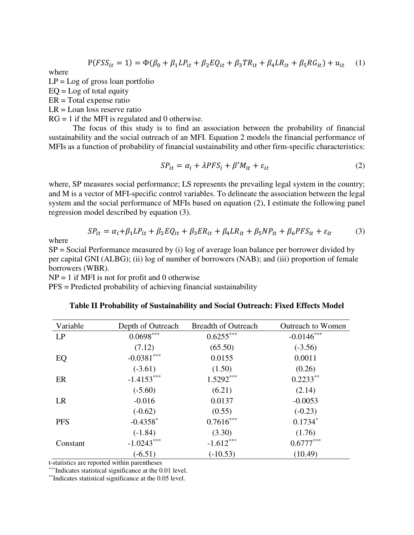$$
P(FSS_{it} = 1) = \Phi(\beta_0 + \beta_1 LP_{it} + \beta_2 EQ_{it} + \beta_3 TR_{it} + \beta_4 LR_{it} + \beta_5 RG_{it}) + u_{it} \tag{1}
$$

where

 $LP = Log$  of gross loan portfolio

 $EQ = Log of total equity$ 

ER = Total expense ratio

 $LR =$ Loan loss reserve ratio

 $RG = 1$  if the MFI is regulated and 0 otherwise.

The focus of this study is to find an association between the probability of financial sustainability and the social outreach of an MFI. Equation 2 models the financial performance of MFIs as a function of probability of financial sustainability and other firm-specific characteristics:

$$
SP_{it} = \alpha_i + \lambda PFS_i + \beta' M_{it} + \varepsilon_{it}
$$
 (2)

where, SP measures social performance; LS represents the prevailing legal system in the country; and M is a vector of MFI-specific control variables. To delineate the association between the legal system and the social performance of MFIs based on equation (2), I estimate the following panel regression model described by equation (3).

$$
SP_{it} = \alpha_i + \beta_1 LP_{it} + \beta_2 EQ_{it} + \beta_3 ER_{it} + \beta_4 LR_{it} + \beta_5 NP_{it} + \beta_6 PFS_{it} + \varepsilon_{it}
$$
(3)

where

SP = Social Performance measured by (i) log of average loan balance per borrower divided by per capital GNI (ALBG); (ii) log of number of borrowers (NAB); and (iii) proportion of female borrowers (WBR).

 $NP = 1$  if MFI is not for profit and 0 otherwise

PFS = Predicted probability of achieving financial sustainability

| Variable   | Depth of Outreach      | <b>Breadth of Outreach</b> | <b>Outreach to Women</b> |
|------------|------------------------|----------------------------|--------------------------|
| LP         | $0.0698***$            | $0.6255***$                | $-0.0146***$             |
|            | (7.12)                 | (65.50)                    | $(-3.56)$                |
| EQ         | $-0.0381***$           | 0.0155                     | 0.0011                   |
|            | $(-3.61)$              | (1.50)                     | (0.26)                   |
| ER         | $-1.4153***$           | $1.5292***$                | $0.2233**$               |
|            | $(-5.60)$              | (6.21)                     | (2.14)                   |
| LR         | $-0.016$               | 0.0137                     | $-0.0053$                |
|            | $(-0.62)$              | (0.55)                     | $(-0.23)$                |
| <b>PFS</b> | $-0.4358$ <sup>*</sup> | $0.7616***$                | $0.1734*$                |
|            | $(-1.84)$              | (3.30)                     | (1.76)                   |
| Constant   | $-1.0243***$           | $-1.612***$                | $0.6777***$              |
|            | $(-6.51)$              | $(-10.53)$                 | (10.49)                  |

#### **Table II Probability of Sustainability and Social Outreach: Fixed Effects Model**

t-statistics are reported within parentheses

\*\*\*Indicates statistical significance at the 0.01 level.

\*\*Indicates statistical significance at the 0.05 level.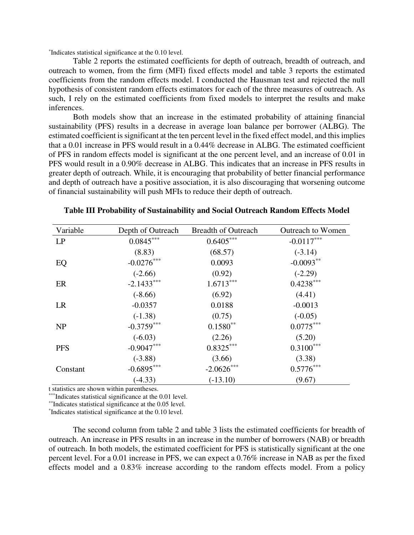\* Indicates statistical significance at the 0.10 level.

Table 2 reports the estimated coefficients for depth of outreach, breadth of outreach, and outreach to women, from the firm (MFI) fixed effects model and table 3 reports the estimated coefficients from the random effects model. I conducted the Hausman test and rejected the null hypothesis of consistent random effects estimators for each of the three measures of outreach. As such, I rely on the estimated coefficients from fixed models to interpret the results and make inferences.

Both models show that an increase in the estimated probability of attaining financial sustainability (PFS) results in a decrease in average loan balance per borrower (ALBG). The estimated coefficient is significant at the ten percent level in the fixed effect model, and this implies that a 0.01 increase in PFS would result in a 0.44% decrease in ALBG. The estimated coefficient of PFS in random effects model is significant at the one percent level, and an increase of 0.01 in PFS would result in a 0.90% decrease in ALBG. This indicates that an increase in PFS results in greater depth of outreach. While, it is encouraging that probability of better financial performance and depth of outreach have a positive association, it is also discouraging that worsening outcome of financial sustainability will push MFIs to reduce their depth of outreach.

| Variable   | Depth of Outreach | <b>Breadth of Outreach</b> | <b>Outreach to Women</b> |
|------------|-------------------|----------------------------|--------------------------|
| LP         | $0.0845***$       | $0.6405***$                | $-0.0117***$             |
|            | (8.83)            | (68.57)                    | $(-3.14)$                |
| EQ         | $-0.0276***$      | 0.0093                     | $-0.0093**$              |
|            | $(-2.66)$         | (0.92)                     | $(-2.29)$                |
| ER         | $-2.1433***$      | $1.6713***$                | $0.4238***$              |
|            | $(-8.66)$         | (6.92)                     | (4.41)                   |
| LR         | $-0.0357$         | 0.0188                     | $-0.0013$                |
|            | $(-1.38)$         | (0.75)                     | $(-0.05)$                |
| <b>NP</b>  | $-0.3759***$      | $0.1580**$                 | $0.0775***$              |
|            | $(-6.03)$         | (2.26)                     | (5.20)                   |
| <b>PFS</b> | $-0.9047***$      | $0.8325***$                | $0.3100***$              |
|            | $(-3.88)$         | (3.66)                     | (3.38)                   |
| Constant   | $-0.6895***$      | $-2.0626***$               | $0.5776***$              |
|            | $(-4.33)$         | $(-13.10)$                 | (9.67)                   |

**Table III Probability of Sustainability and Social Outreach Random Effects Model** 

t statistics are shown within parentheses.

\*\*\*Indicates statistical significance at the 0.01 level.

\*\*Indicates statistical significance at the 0.05 level.

\* Indicates statistical significance at the 0.10 level.

The second column from table 2 and table 3 lists the estimated coefficients for breadth of outreach. An increase in PFS results in an increase in the number of borrowers (NAB) or breadth of outreach. In both models, the estimated coefficient for PFS is statistically significant at the one percent level. For a 0.01 increase in PFS, we can expect a 0.76% increase in NAB as per the fixed effects model and a 0.83% increase according to the random effects model. From a policy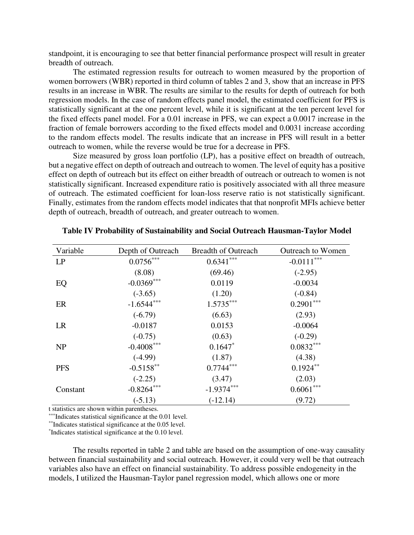standpoint, it is encouraging to see that better financial performance prospect will result in greater breadth of outreach.

The estimated regression results for outreach to women measured by the proportion of women borrowers (WBR) reported in third column of tables 2 and 3, show that an increase in PFS results in an increase in WBR. The results are similar to the results for depth of outreach for both regression models. In the case of random effects panel model, the estimated coefficient for PFS is statistically significant at the one percent level, while it is significant at the ten percent level for the fixed effects panel model. For a 0.01 increase in PFS, we can expect a 0.0017 increase in the fraction of female borrowers according to the fixed effects model and 0.0031 increase according to the random effects model. The results indicate that an increase in PFS will result in a better outreach to women, while the reverse would be true for a decrease in PFS.

Size measured by gross loan portfolio (LP), has a positive effect on breadth of outreach, but a negative effect on depth of outreach and outreach to women. The level of equity has a positive effect on depth of outreach but its effect on either breadth of outreach or outreach to women is not statistically significant. Increased expenditure ratio is positively associated with all three measure of outreach. The estimated coefficient for loan-loss reserve ratio is not statistically significant. Finally, estimates from the random effects model indicates that that nonprofit MFIs achieve better depth of outreach, breadth of outreach, and greater outreach to women.

| Variable   | Depth of Outreach | <b>Breadth of Outreach</b> | <b>Outreach to Women</b> |
|------------|-------------------|----------------------------|--------------------------|
| LP         | $0.0756***$       | $0.6341***$                | $-0.0111***$             |
|            | (8.08)            | (69.46)                    | $(-2.95)$                |
| EQ         | $-0.0369***$      | 0.0119                     | $-0.0034$                |
|            | $(-3.65)$         | (1.20)                     | $(-0.84)$                |
| ER         | $-1.6544***$      | $1.5735***$                | $0.2901***$              |
|            | $(-6.79)$         | (6.63)                     | (2.93)                   |
| LR         | $-0.0187$         | 0.0153                     | $-0.0064$                |
|            | $(-0.75)$         | (0.63)                     | $(-0.29)$                |
| <b>NP</b>  | $-0.4008***$      | $0.1647*$                  | $0.0832***$              |
|            | $(-4.99)$         | (1.87)                     | (4.38)                   |
| <b>PFS</b> | $-0.5158$ **      | $0.7744***$                | $0.1924**$               |
|            | $(-2.25)$         | (3.47)                     | (2.03)                   |
| Constant   | $-0.8264***$      | $-1.9374***$               | $0.6061***$              |
|            | $(-5.13)$         | $(-12.14)$                 | (9.72)                   |

#### **Table IV Probability of Sustainability and Social Outreach Hausman-Taylor Model**

t statistics are shown within parentheses.

\*\*\*Indicates statistical significance at the 0.01 level.

\*\*Indicates statistical significance at the 0.05 level.

\* Indicates statistical significance at the 0.10 level.

The results reported in table 2 and table are based on the assumption of one-way causality between financial sustainability and social outreach. However, it could very well be that outreach variables also have an effect on financial sustainability. To address possible endogeneity in the models, I utilized the Hausman-Taylor panel regression model, which allows one or more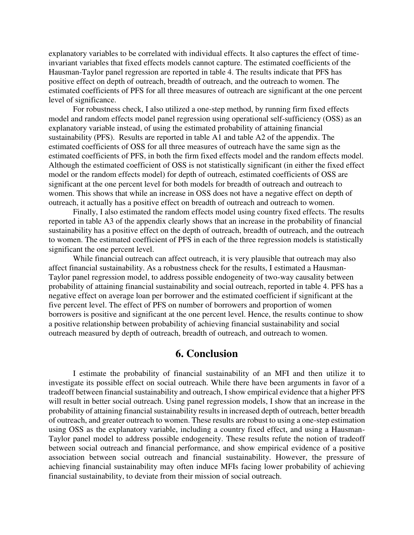explanatory variables to be correlated with individual effects. It also captures the effect of timeinvariant variables that fixed effects models cannot capture. The estimated coefficients of the Hausman-Taylor panel regression are reported in table 4. The results indicate that PFS has positive effect on depth of outreach, breadth of outreach, and the outreach to women. The estimated coefficients of PFS for all three measures of outreach are significant at the one percent level of significance.

For robustness check, I also utilized a one-step method, by running firm fixed effects model and random effects model panel regression using operational self-sufficiency (OSS) as an explanatory variable instead, of using the estimated probability of attaining financial sustainability (PFS). Results are reported in table A1 and table A2 of the appendix. The estimated coefficients of OSS for all three measures of outreach have the same sign as the estimated coefficients of PFS, in both the firm fixed effects model and the random effects model. Although the estimated coefficient of OSS is not statistically significant (in either the fixed effect model or the random effects model) for depth of outreach, estimated coefficients of OSS are significant at the one percent level for both models for breadth of outreach and outreach to women. This shows that while an increase in OSS does not have a negative effect on depth of outreach, it actually has a positive effect on breadth of outreach and outreach to women.

Finally, I also estimated the random effects model using country fixed effects. The results reported in table A3 of the appendix clearly shows that an increase in the probability of financial sustainability has a positive effect on the depth of outreach, breadth of outreach, and the outreach to women. The estimated coefficient of PFS in each of the three regression models is statistically significant the one percent level.

While financial outreach can affect outreach, it is very plausible that outreach may also affect financial sustainability. As a robustness check for the results, I estimated a Hausman-Taylor panel regression model, to address possible endogeneity of two-way causality between probability of attaining financial sustainability and social outreach, reported in table 4. PFS has a negative effect on average loan per borrower and the estimated coefficient if significant at the five percent level. The effect of PFS on number of borrowers and proportion of women borrowers is positive and significant at the one percent level. Hence, the results continue to show a positive relationship between probability of achieving financial sustainability and social outreach measured by depth of outreach, breadth of outreach, and outreach to women.

### **6. Conclusion**

I estimate the probability of financial sustainability of an MFI and then utilize it to investigate its possible effect on social outreach. While there have been arguments in favor of a tradeoff between financial sustainability and outreach, I show empirical evidence that a higher PFS will result in better social outreach. Using panel regression models, I show that an increase in the probability of attaining financial sustainability results in increased depth of outreach, better breadth of outreach, and greater outreach to women. These results are robust to using a one-step estimation using OSS as the explanatory variable, including a country fixed effect, and using a Hausman-Taylor panel model to address possible endogeneity. These results refute the notion of tradeoff between social outreach and financial performance, and show empirical evidence of a positive association between social outreach and financial sustainability. However, the pressure of achieving financial sustainability may often induce MFIs facing lower probability of achieving financial sustainability, to deviate from their mission of social outreach.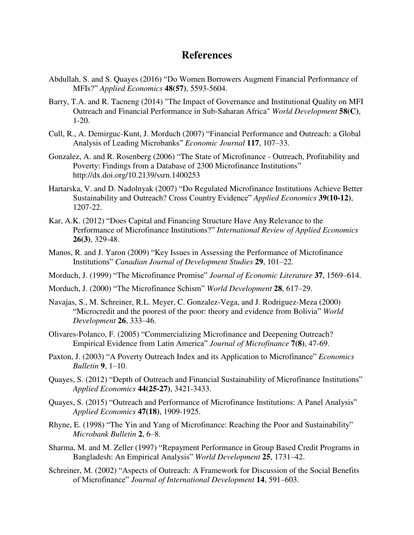### **References**

- Abdullah, S. and S. Quayes (2016) "Do Women Borrowers Augment Financial Performance of MFIs?" *Applied Economics* **48(57)**, 5593-5604.
- Barry, T.A. and R. Tacneng (2014) "The Impact of Governance and Institutional Quality on MFI Outreach and Financial Performance in Sub-Saharan Africa" *World Development* **58(C)**, 1-20.
- Cull, R., A. Demirguc-Kunt, J. Morduch (2007) "Financial Performance and Outreach: a Global Analysis of Leading Microbanks" *Economic Journal* **117**, 107–33.
- Gonzalez, A. and R. Rosenberg (2006) "The State of Microfinance Outreach, Profitability and Poverty: Findings from a Database of 2300 Microfinance Institutions" http://dx.doi.org/10.2139/ssrn.1400253
- Hartarska, V. and D. Nadolnyak (2007) "Do Regulated Microfinance Institutions Achieve Better Sustainability and Outreach? Cross Country Evidence" *Applied Economics* **39(10-12)**, 1207-22.
- Kar, A.K. (2012) "Does Capital and Financing Structure Have Any Relevance to the Performance of Microfinance Institutions?" *[International Review of Applied Economics](javascript:__doLinkPostBack()* **26(3)**, 329-48.
- Manos, R. and J. Yaron (2009) "Key Issues in Assessing the Performance of Microfinance Institutions" *Canadian Journal of Development Studies* **29**, 101–22.
- Morduch, J. (1999) "The Microfinance Promise" *Journal of Economic Literature* **37**, 1569–614.
- Morduch, J. (2000) "The Microfinance Schism" *World Development* **28**, 617–29.
- Navajas, S., M. Schreiner, R.L. Meyer, C. Gonzalez-Vega, and J. Rodriguez-Meza (2000) "Microcredit and the poorest of the poor: theory and evidence from Bolivia" *World Development* **26**, 333–46.
- Olivares-Polanco, F. (2005) "Commercializing Microfinance and Deepening Outreach? Empirical Evidence from Latin America" *Journal of Microfinance* **7(8)**, 47-69.
- Paxton, J. (2003) "A Poverty Outreach Index and its Application to Microfinance" *Economics Bulletin* **9**, 1–10.
- Quayes, S. (2012) "Depth of Outreach and Financial Sustainability of Microfinance Institutions" *Applied Economics* **44(25-27)**, 3421-3433.
- Quayes, S. (2015) "Outreach and Performance of Microfinance Institutions: A Panel Analysis" *Applied Economics* **47(18)**, 1909-1925.
- Rhyne, E. (1998) "The Yin and Yang of Microfinance: Reaching the Poor and Sustainability" *Microbank Bulletin* **2**, 6–8.
- Sharma, M. and M. Zeller (1997) "Repayment Performance in Group Based Credit Programs in Bangladesh: An Empirical Analysis" *World Development* **25**, 1731–42.
- Schreiner, M. (2002) "Aspects of Outreach: A Framework for Discussion of the Social Benefits of Microfinance" *Journal of International Development* **14**, 591–603.